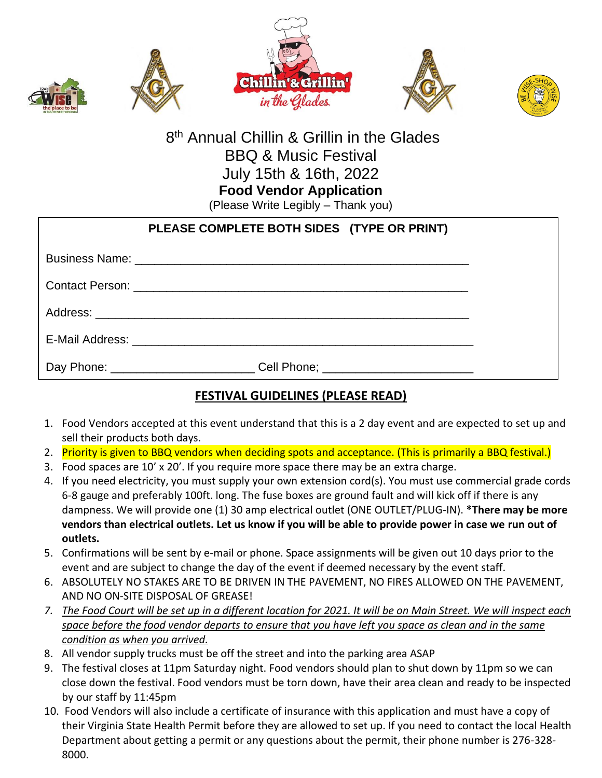



## 8<sup>th</sup> Annual Chillin & Grillin in the Glades BBQ & Music Festival July 15th & 16th, 2022 **Food Vendor Application**

(Please Write Legibly – Thank you)

| PLEASE COMPLETE BOTH SIDES (TYPE OR PRINT)                                 |  |
|----------------------------------------------------------------------------|--|
|                                                                            |  |
|                                                                            |  |
|                                                                            |  |
|                                                                            |  |
| Day Phone: ________________________Cell Phone; ___________________________ |  |

## **FESTIVAL GUIDELINES (PLEASE READ)**

- 1. Food Vendors accepted at this event understand that this is a 2 day event and are expected to set up and sell their products both days.
- 2. Priority is given to BBQ vendors when deciding spots and acceptance. (This is primarily a BBQ festival.)
- 3. Food spaces are 10' x 20'. If you require more space there may be an extra charge.
- 4. If you need electricity, you must supply your own extension cord(s). You must use commercial grade cords 6-8 gauge and preferably 100ft. long. The fuse boxes are ground fault and will kick off if there is any dampness. We will provide one (1) 30 amp electrical outlet (ONE OUTLET/PLUG-IN). **\*There may be more vendors than electrical outlets. Let us know if you will be able to provide power in case we run out of outlets.**
- 5. Confirmations will be sent by e-mail or phone. Space assignments will be given out 10 days prior to the event and are subject to change the day of the event if deemed necessary by the event staff.
- 6. ABSOLUTELY NO STAKES ARE TO BE DRIVEN IN THE PAVEMENT, NO FIRES ALLOWED ON THE PAVEMENT, AND NO ON-SITE DISPOSAL OF GREASE!
- *7. The Food Court will be set up in a different location for 2021. It will be on Main Street. We will inspect each space before the food vendor departs to ensure that you have left you space as clean and in the same condition as when you arrived.*
- 8. All vendor supply trucks must be off the street and into the parking area ASAP
- 9. The festival closes at 11pm Saturday night. Food vendors should plan to shut down by 11pm so we can close down the festival. Food vendors must be torn down, have their area clean and ready to be inspected by our staff by 11:45pm
- 10. Food Vendors will also include a certificate of insurance with this application and must have a copy of their Virginia State Health Permit before they are allowed to set up. If you need to contact the local Health Department about getting a permit or any questions about the permit, their phone number is 276-328- 8000.